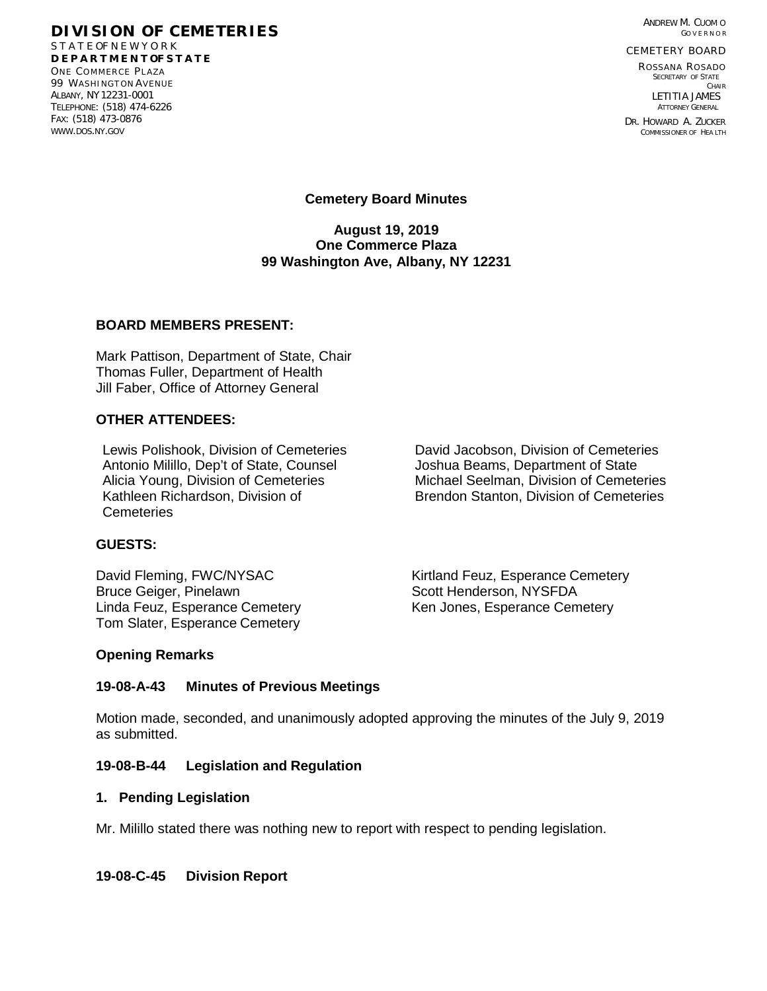ANDREW M. CUOM O GO V E R N O R

CEMETERY BOARD

ROSSANA ROSADO SECRETARY OF STATE CHAIR LETITIA JAMES ATTORNEY GENERAL

DR. HOWARD A. ZUCKER COMMISSIONER OF HEA LTH

#### **DIVISION OF CEMETERIES** S T A T E OF N E W Y O R K

**D E P A R T M E N T OF S T A T E** ONE COMMERCE PLAZA 99 WASHINGTON AVENUE ALBANY, NY12231-0001 TELEPHONE: (518) 474-6226 FAX: (518) 473-0876 [WWW.DOS.NY.GOV](http://www.dos.ny.gov/)

**Cemetery Board Minutes** 

**August 19, 2019 One Commerce Plaza 99 Washington Ave, Albany, NY 12231**

#### **BOARD MEMBERS PRESENT:**

Mark Pattison, Department of State, Chair Thomas Fuller, Department of Health Jill Faber, Office of Attorney General

### **OTHER ATTENDEES:**

Lewis Polishook, Division of Cemeteries **David Jacobson, Division of Cemeteries** Antonio Milillo, Dep't of State, Counsel *Joshua Beams, Department of State*<br>Alicia Young, Division of Cemeteries Michael Seelman, Division of Cemete Kathleen Richardson, Division of **Cemeteries** 

# Michael Seelman, Division of Cemeteries Brendon Stanton, Division of Cemeteries

### **GUESTS:**

Bruce Geiger, Pinelawn Scott Henderson, NYSFDA Linda Feuz, Esperance Cemetery **Ken Jones, Esperance Cemetery** Tom Slater, Esperance Cemetery

David Fleming, FWC/NYSAC Kirtland Feuz, Esperance Cemetery

#### **Opening Remarks**

### **19-08-A-43 Minutes of Previous Meetings**

Motion made, seconded, and unanimously adopted approving the minutes of the July 9, 2019 as submitted.

#### **19-08-B-44 Legislation and Regulation**

#### **1. Pending Legislation**

Mr. Milillo stated there was nothing new to report with respect to pending legislation.

### **19-08-C-45 Division Report**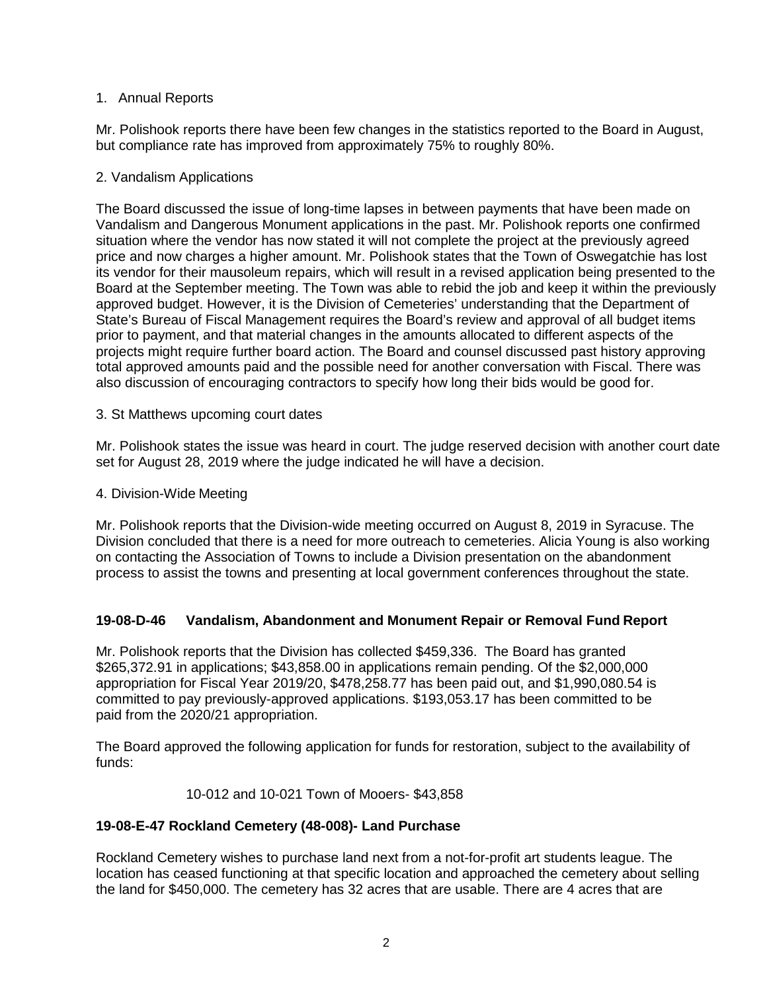## 1. Annual Reports

Mr. Polishook reports there have been few changes in the statistics reported to the Board in August, but compliance rate has improved from approximately 75% to roughly 80%.

## 2. Vandalism Applications

The Board discussed the issue of long-time lapses in between payments that have been made on Vandalism and Dangerous Monument applications in the past. Mr. Polishook reports one confirmed situation where the vendor has now stated it will not complete the project at the previously agreed price and now charges a higher amount. Mr. Polishook states that the Town of Oswegatchie has lost its vendor for their mausoleum repairs, which will result in a revised application being presented to the Board at the September meeting. The Town was able to rebid the job and keep it within the previously approved budget. However, it is the Division of Cemeteries' understanding that the Department of State's Bureau of Fiscal Management requires the Board's review and approval of all budget items prior to payment, and that material changes in the amounts allocated to different aspects of the projects might require further board action. The Board and counsel discussed past history approving total approved amounts paid and the possible need for another conversation with Fiscal. There was also discussion of encouraging contractors to specify how long their bids would be good for.

### 3. St Matthews upcoming court dates

Mr. Polishook states the issue was heard in court. The judge reserved decision with another court date set for August 28, 2019 where the judge indicated he will have a decision.

### 4. Division-Wide Meeting

Mr. Polishook reports that the Division-wide meeting occurred on August 8, 2019 in Syracuse. The Division concluded that there is a need for more outreach to cemeteries. Alicia Young is also working on contacting the Association of Towns to include a Division presentation on the abandonment process to assist the towns and presenting at local government conferences throughout the state.

### **19-08-D-46 Vandalism, Abandonment and Monument Repair or Removal Fund Report**

Mr. Polishook reports that the Division has collected \$459,336. The Board has granted \$265,372.91 in applications; \$43,858.00 in applications remain pending. Of the \$2,000,000 appropriation for Fiscal Year 2019/20, \$478,258.77 has been paid out, and \$1,990,080.54 is committed to pay previously-approved applications. \$193,053.17 has been committed to be paid from the 2020/21 appropriation.

The Board approved the following application for funds for restoration, subject to the availability of funds:

### 10-012 and 10-021 Town of Mooers- \$43,858

### **19-08-E-47 Rockland Cemetery (48-008)- Land Purchase**

Rockland Cemetery wishes to purchase land next from a not-for-profit art students league. The location has ceased functioning at that specific location and approached the cemetery about selling the land for \$450,000. The cemetery has 32 acres that are usable. There are 4 acres that are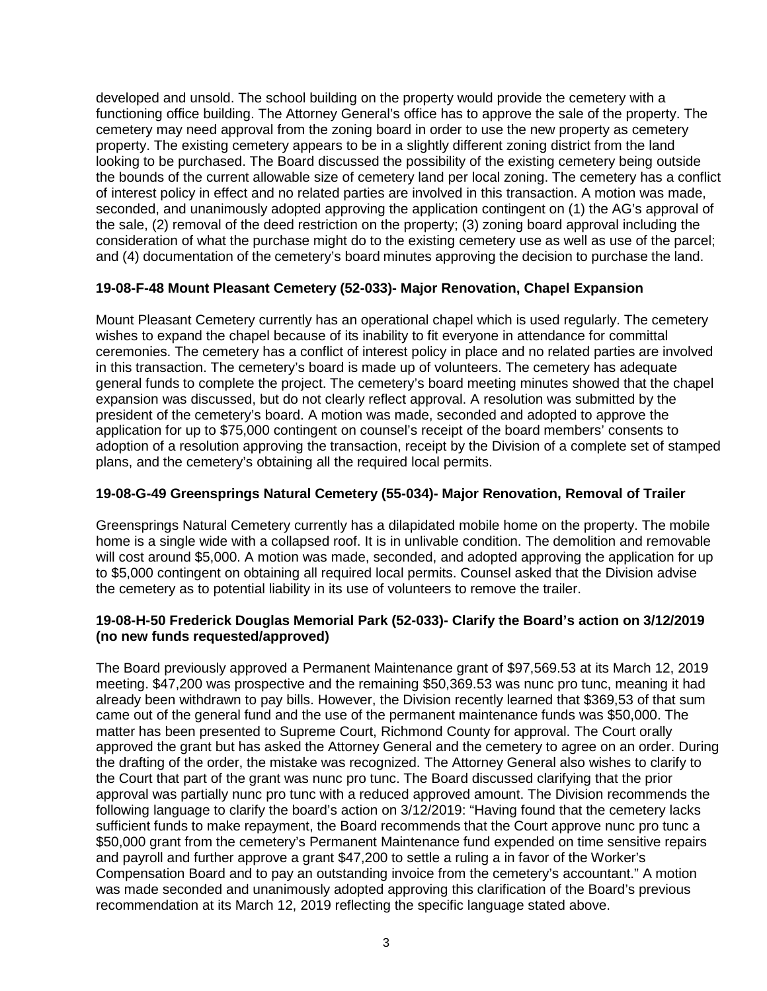developed and unsold. The school building on the property would provide the cemetery with a functioning office building. The Attorney General's office has to approve the sale of the property. The cemetery may need approval from the zoning board in order to use the new property as cemetery property. The existing cemetery appears to be in a slightly different zoning district from the land looking to be purchased. The Board discussed the possibility of the existing cemetery being outside the bounds of the current allowable size of cemetery land per local zoning. The cemetery has a conflict of interest policy in effect and no related parties are involved in this transaction. A motion was made, seconded, and unanimously adopted approving the application contingent on (1) the AG's approval of the sale, (2) removal of the deed restriction on the property; (3) zoning board approval including the consideration of what the purchase might do to the existing cemetery use as well as use of the parcel; and (4) documentation of the cemetery's board minutes approving the decision to purchase the land.

# **19-08-F-48 Mount Pleasant Cemetery (52-033)- Major Renovation, Chapel Expansion**

Mount Pleasant Cemetery currently has an operational chapel which is used regularly. The cemetery wishes to expand the chapel because of its inability to fit everyone in attendance for committal ceremonies. The cemetery has a conflict of interest policy in place and no related parties are involved in this transaction. The cemetery's board is made up of volunteers. The cemetery has adequate general funds to complete the project. The cemetery's board meeting minutes showed that the chapel expansion was discussed, but do not clearly reflect approval. A resolution was submitted by the president of the cemetery's board. A motion was made, seconded and adopted to approve the application for up to \$75,000 contingent on counsel's receipt of the board members' consents to adoption of a resolution approving the transaction, receipt by the Division of a complete set of stamped plans, and the cemetery's obtaining all the required local permits.

## **19-08-G-49 Greensprings Natural Cemetery (55-034)- Major Renovation, Removal of Trailer**

Greensprings Natural Cemetery currently has a dilapidated mobile home on the property. The mobile home is a single wide with a collapsed roof. It is in unlivable condition. The demolition and removable will cost around \$5,000. A motion was made, seconded, and adopted approving the application for up to \$5,000 contingent on obtaining all required local permits. Counsel asked that the Division advise the cemetery as to potential liability in its use of volunteers to remove the trailer.

### **19-08-H-50 Frederick Douglas Memorial Park (52-033)- Clarify the Board's action on 3/12/2019 (no new funds requested/approved)**

The Board previously approved a Permanent Maintenance grant of \$97,569.53 at its March 12, 2019 meeting. \$47,200 was prospective and the remaining \$50,369.53 was nunc pro tunc, meaning it had already been withdrawn to pay bills. However, the Division recently learned that \$369,53 of that sum came out of the general fund and the use of the permanent maintenance funds was \$50,000. The matter has been presented to Supreme Court, Richmond County for approval. The Court orally approved the grant but has asked the Attorney General and the cemetery to agree on an order. During the drafting of the order, the mistake was recognized. The Attorney General also wishes to clarify to the Court that part of the grant was nunc pro tunc. The Board discussed clarifying that the prior approval was partially nunc pro tunc with a reduced approved amount. The Division recommends the following language to clarify the board's action on 3/12/2019: "Having found that the cemetery lacks sufficient funds to make repayment, the Board recommends that the Court approve nunc pro tunc a \$50,000 grant from the cemetery's Permanent Maintenance fund expended on time sensitive repairs and payroll and further approve a grant \$47,200 to settle a ruling a in favor of the Worker's Compensation Board and to pay an outstanding invoice from the cemetery's accountant." A motion was made seconded and unanimously adopted approving this clarification of the Board's previous recommendation at its March 12, 2019 reflecting the specific language stated above.